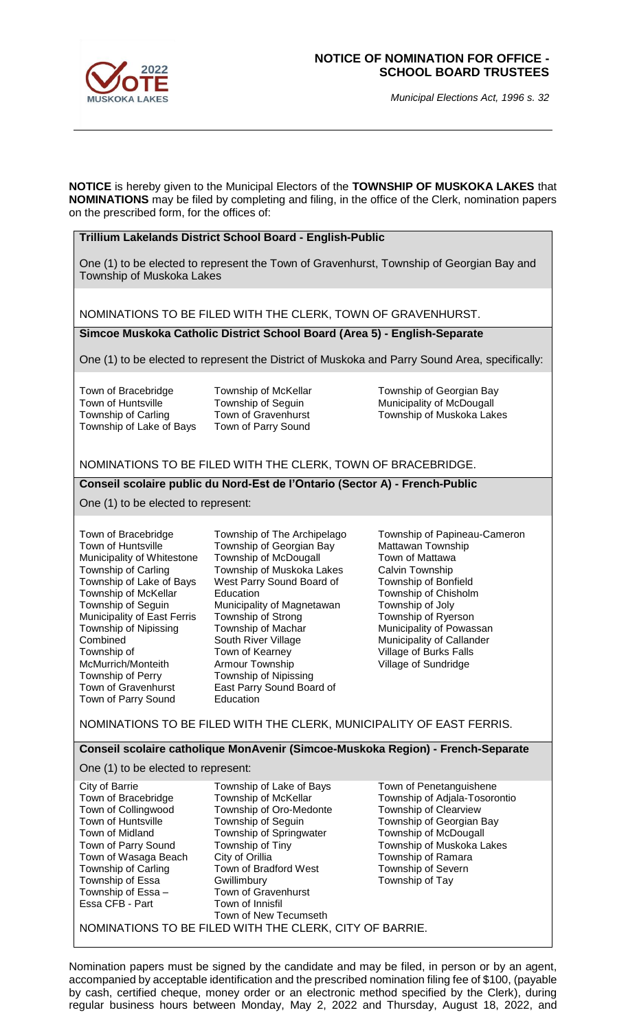

## **NOTICE OF NOMINATION FOR OFFICE - SCHOOL BOARD TRUSTEES**

*Municipal Elections Act, 1996 s. 32*

**NOTICE** is hereby given to the Municipal Electors of the **TOWNSHIP OF MUSKOKA LAKES** that **NOMINATIONS** may be filed by completing and filing, in the office of the Clerk, nomination papers on the prescribed form, for the offices of:

## **Trillium Lakelands District School Board - English-Public**

One (1) to be elected to represent the Town of Gravenhurst, Township of Georgian Bay and Township of Muskoka Lakes

NOMINATIONS TO BE FILED WITH THE CLERK, TOWN OF GRAVENHURST.

**Simcoe Muskoka Catholic District School Board (Area 5) - English-Separate**

One (1) to be elected to represent the District of Muskoka and Parry Sound Area, specifically:

Town of Bracebridge Town of Huntsville Township of Carling Township of Lake of Bays

Township of McKellar Township of Seguin Town of Gravenhurst Town of Parry Sound

Township of Georgian Bay Municipality of McDougall Township of Muskoka Lakes

## NOMINATIONS TO BE FILED WITH THE CLERK, TOWN OF BRACEBRIDGE.

## **Conseil scolaire public du Nord-Est de l'Ontario (Sector A) - French-Public**

One (1) to be elected to represent:

Town of Bracebridge Town of Huntsville Municipality of Whitestone Township of Carling Township of Lake of Bays Township of McKellar Township of Seguin Municipality of East Ferris Township of Nipissing Combined Township of McMurrich/Monteith Township of Perry Town of Gravenhurst Town of Parry Sound

Township of The Archipelago Township of Georgian Bay Township of McDougall Township of Muskoka Lakes West Parry Sound Board of Education Municipality of Magnetawan Township of Strong Township of Machar South River Village Town of Kearney Armour Township Township of Nipissing East Parry Sound Board of Education

Township of Papineau-Cameron Mattawan Township Town of Mattawa Calvin Township Township of Bonfield Township of Chisholm Township of Joly Township of Ryerson Municipality of Powassan Municipality of Callander Village of Burks Falls Village of Sundridge

NOMINATIONS TO BE FILED WITH THE CLERK, MUNICIPALITY OF EAST FERRIS.

**Conseil scolaire catholique MonAvenir (Simcoe-Muskoka Region) - French-Separate**

One (1) to be elected to represent:

| City of Barrie                                          | Township of Lake of Bays | Town of Penetanguishene       |
|---------------------------------------------------------|--------------------------|-------------------------------|
| Town of Bracebridge                                     | Township of McKellar     | Township of Adjala-Tosorontio |
| Town of Collingwood                                     | Township of Oro-Medonte  | Township of Clearview         |
| Town of Huntsville                                      | Township of Seguin       | Township of Georgian Bay      |
| Town of Midland                                         | Township of Springwater  | Township of McDougall         |
| Town of Parry Sound                                     | Township of Tiny         | Township of Muskoka Lakes     |
| Town of Wasaga Beach                                    | City of Orillia          | Township of Ramara            |
| Township of Carling                                     | Town of Bradford West    | Township of Severn            |
| Township of Essa                                        | Gwillimbury              | Township of Tay               |
| Township of Essa -                                      | Town of Gravenhurst      |                               |
| Essa CFB - Part                                         | Town of Innisfil         |                               |
|                                                         | Town of New Tecumseth    |                               |
| NOMINATIONS TO BE FILED WITH THE CLERK, CITY OF BARRIE. |                          |                               |

Nomination papers must be signed by the candidate and may be filed, in person or by an agent, accompanied by acceptable identification and the prescribed nomination filing fee of \$100, (payable by cash, certified cheque, money order or an electronic method specified by the Clerk), during regular business hours between Monday, May 2, 2022 and Thursday, August 18, 2022, and